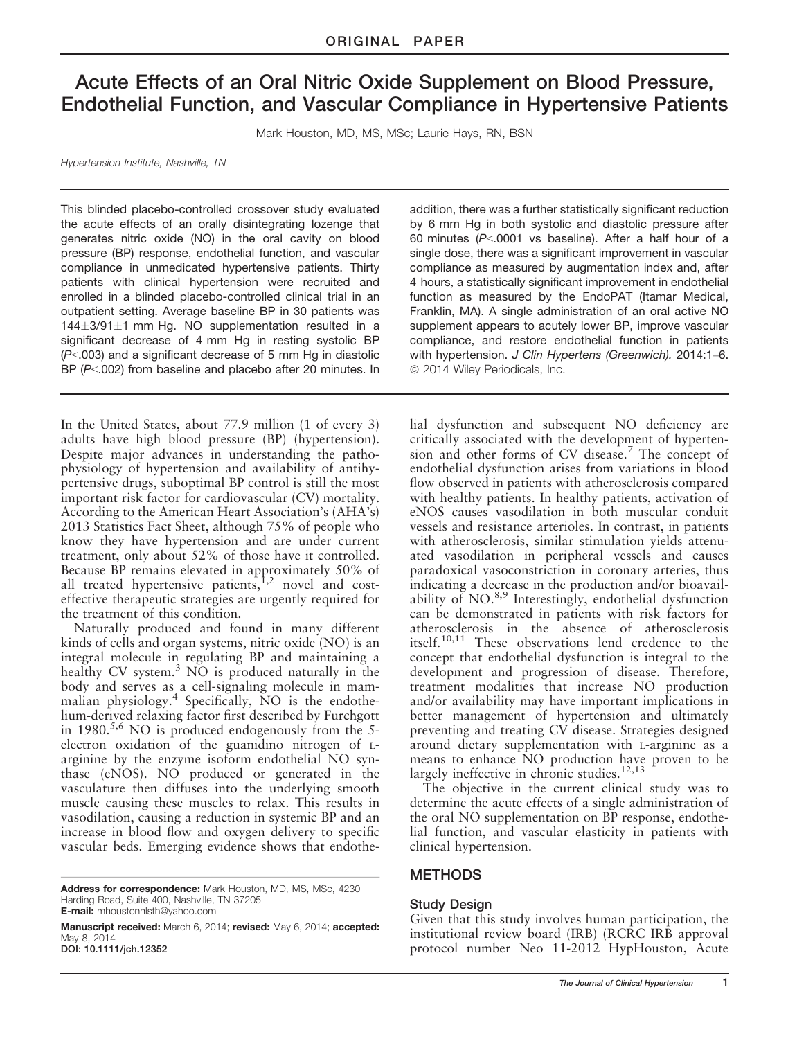# Acute Effects of an Oral Nitric Oxide Supplement on Blood Pressure, Endothelial Function, and Vascular Compliance in Hypertensive Patients

Mark Houston, MD, MS, MSc; Laurie Hays, RN, BSN

Hypertension Institute, Nashville, TN

This blinded placebo-controlled crossover study evaluated the acute effects of an orally disintegrating lozenge that generates nitric oxide (NO) in the oral cavity on blood pressure (BP) response, endothelial function, and vascular compliance in unmedicated hypertensive patients. Thirty patients with clinical hypertension were recruited and enrolled in a blinded placebo-controlled clinical trial in an outpatient setting. Average baseline BP in 30 patients was  $144\pm3/91\pm1$  mm Hg. NO supplementation resulted in a significant decrease of 4 mm Hg in resting systolic BP (P<.003) and a significant decrease of 5 mm Hg in diastolic BP (P<.002) from baseline and placebo after 20 minutes. In

In the United States, about 77.9 million (1 of every 3) adults have high blood pressure (BP) (hypertension). Despite major advances in understanding the pathophysiology of hypertension and availability of antihypertensive drugs, suboptimal BP control is still the most important risk factor for cardiovascular (CV) mortality. According to the American Heart Association's (AHA's) 2013 Statistics Fact Sheet, although 75% of people who know they have hypertension and are under current treatment, only about 52% of those have it controlled. Because BP remains elevated in approximately 50% of all treated hypertensive patients,  $1,2$  novel and costeffective therapeutic strategies are urgently required for the treatment of this condition.

Naturally produced and found in many different kinds of cells and organ systems, nitric oxide (NO) is an integral molecule in regulating BP and maintaining a healthy CV system. $3$  NO is produced naturally in the body and serves as a cell-signaling molecule in mammalian physiology.4 Specifically, NO is the endothelium-derived relaxing factor first described by Furchgott in 1980.<sup>5,6</sup> NO is produced endogenously from the 5electron oxidation of the guanidino nitrogen of Larginine by the enzyme isoform endothelial NO synthase (eNOS). NO produced or generated in the vasculature then diffuses into the underlying smooth muscle causing these muscles to relax. This results in vasodilation, causing a reduction in systemic BP and an increase in blood flow and oxygen delivery to specific vascular beds. Emerging evidence shows that endothe-

Manuscript received: March 6, 2014; revised: May 6, 2014; accepted: May 8, 2014 DOI: 10.1111/jch.12352

addition, there was a further statistically significant reduction by 6 mm Hg in both systolic and diastolic pressure after 60 minutes ( $P$ <.0001 vs baseline). After a half hour of a single dose, there was a significant improvement in vascular compliance as measured by augmentation index and, after 4 hours, a statistically significant improvement in endothelial function as measured by the EndoPAT (Itamar Medical, Franklin, MA). A single administration of an oral active NO supplement appears to acutely lower BP, improve vascular compliance, and restore endothelial function in patients with hypertension. J Clin Hypertens (Greenwich). 2014:1-6.  $©$  2014 Wiley Periodicals, Inc.

lial dysfunction and subsequent NO deficiency are critically associated with the development of hypertension and other forms of CV disease.<sup>7</sup> The concept of endothelial dysfunction arises from variations in blood flow observed in patients with atherosclerosis compared with healthy patients. In healthy patients, activation of eNOS causes vasodilation in both muscular conduit vessels and resistance arterioles. In contrast, in patients with atherosclerosis, similar stimulation yields attenuated vasodilation in peripheral vessels and causes paradoxical vasoconstriction in coronary arteries, thus indicating a decrease in the production and/or bioavailability of  $NO$ .<sup>8,9</sup> Interestingly, endothelial dysfunction can be demonstrated in patients with risk factors for atherosclerosis in the absence of atherosclerosis itself.10,11 These observations lend credence to the concept that endothelial dysfunction is integral to the development and progression of disease. Therefore, treatment modalities that increase NO production and/or availability may have important implications in better management of hypertension and ultimately preventing and treating CV disease. Strategies designed around dietary supplementation with L-arginine as a means to enhance NO production have proven to be largely ineffective in chronic studies.<sup>12,13</sup>

The objective in the current clinical study was to determine the acute effects of a single administration of the oral NO supplementation on BP response, endothelial function, and vascular elasticity in patients with clinical hypertension.

## **METHODS**

## Study Design

Given that this study involves human participation, the institutional review board (IRB) (RCRC IRB approval protocol number Neo 11-2012 HypHouston, Acute

Address for correspondence: Mark Houston, MD, MS, MSc, 4230 Harding Road, Suite 400, Nashville, TN 37205 **E-mail:** mhoustonhlsth@yahoo.com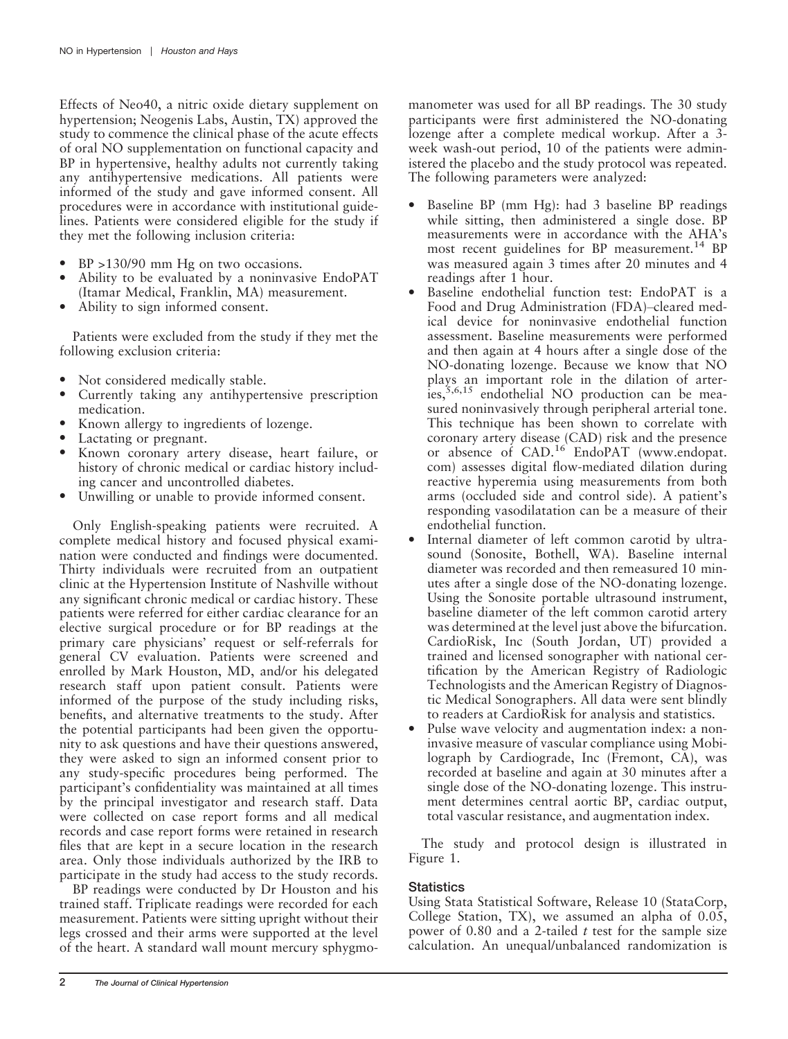Effects of Neo40, a nitric oxide dietary supplement on hypertension; Neogenis Labs, Austin, TX) approved the study to commence the clinical phase of the acute effects of oral NO supplementation on functional capacity and BP in hypertensive, healthy adults not currently taking any antihypertensive medications. All patients were informed of the study and gave informed consent. All procedures were in accordance with institutional guidelines. Patients were considered eligible for the study if they met the following inclusion criteria:

- BP >130/90 mm Hg on two occasions.
- Ability to be evaluated by a noninvasive EndoPAT (Itamar Medical, Franklin, MA) measurement.
- Ability to sign informed consent.

Patients were excluded from the study if they met the following exclusion criteria:

- Not considered medically stable.<br>• Currently taking any antihypert
- Currently taking any antihypertensive prescription medication.
- Known allergy to ingredients of lozenge.
- Lactating or pregnant.<br>• Known, coronary, arte
- Known coronary artery disease, heart failure, or history of chronic medical or cardiac history including cancer and uncontrolled diabetes.
- Unwilling or unable to provide informed consent.

Only English-speaking patients were recruited. A complete medical history and focused physical examination were conducted and findings were documented. Thirty individuals were recruited from an outpatient clinic at the Hypertension Institute of Nashville without any significant chronic medical or cardiac history. These patients were referred for either cardiac clearance for an elective surgical procedure or for BP readings at the primary care physicians' request or self-referrals for general CV evaluation. Patients were screened and enrolled by Mark Houston, MD, and/or his delegated research staff upon patient consult. Patients were informed of the purpose of the study including risks, benefits, and alternative treatments to the study. After the potential participants had been given the opportunity to ask questions and have their questions answered, they were asked to sign an informed consent prior to any study-specific procedures being performed. The participant's confidentiality was maintained at all times by the principal investigator and research staff. Data were collected on case report forms and all medical records and case report forms were retained in research files that are kept in a secure location in the research area. Only those individuals authorized by the IRB to participate in the study had access to the study records.

BP readings were conducted by Dr Houston and his trained staff. Triplicate readings were recorded for each measurement. Patients were sitting upright without their legs crossed and their arms were supported at the level of the heart. A standard wall mount mercury sphygmomanometer was used for all BP readings. The 30 study participants were first administered the NO-donating lozenge after a complete medical workup. After a 3 week wash-out period, 10 of the patients were administered the placebo and the study protocol was repeated. The following parameters were analyzed:

- Baseline BP (mm Hg): had 3 baseline BP readings while sitting, then administered a single dose. BP measurements were in accordance with the AHA's most recent guidelines for BP measurement.<sup>14</sup> BP was measured again 3 times after 20 minutes and 4 readings after 1 hour.
- Baseline endothelial function test: EndoPAT is a Food and Drug Administration (FDA)–cleared medical device for noninvasive endothelial function assessment. Baseline measurements were performed and then again at 4 hours after a single dose of the NO-donating lozenge. Because we know that NO plays an important role in the dilation of arteries,<sup>5,6,15</sup> endothelial NO production can be measured noninvasively through peripheral arterial tone. This technique has been shown to correlate with coronary artery disease (CAD) risk and the presence or absence of CAD.<sup>16</sup> EndoPAT (www.endopat. com) assesses digital flow-mediated dilation during reactive hyperemia using measurements from both arms (occluded side and control side). A patient's responding vasodilatation can be a measure of their endothelial function.
- Internal diameter of left common carotid by ultrasound (Sonosite, Bothell, WA). Baseline internal diameter was recorded and then remeasured 10 minutes after a single dose of the NO-donating lozenge. Using the Sonosite portable ultrasound instrument, baseline diameter of the left common carotid artery was determined at the level just above the bifurcation. CardioRisk, Inc (South Jordan, UT) provided a trained and licensed sonographer with national certification by the American Registry of Radiologic Technologists and the American Registry of Diagnostic Medical Sonographers. All data were sent blindly to readers at CardioRisk for analysis and statistics.
- Pulse wave velocity and augmentation index: a noninvasive measure of vascular compliance using Mobilograph by Cardiograde, Inc (Fremont, CA), was recorded at baseline and again at 30 minutes after a single dose of the NO-donating lozenge. This instrument determines central aortic BP, cardiac output, total vascular resistance, and augmentation index.

The study and protocol design is illustrated in Figure 1.

## **Statistics**

Using Stata Statistical Software, Release 10 (StataCorp, College Station, TX), we assumed an alpha of 0.05, power of  $0.80$  and a 2-tailed t test for the sample size calculation. An unequal/unbalanced randomization is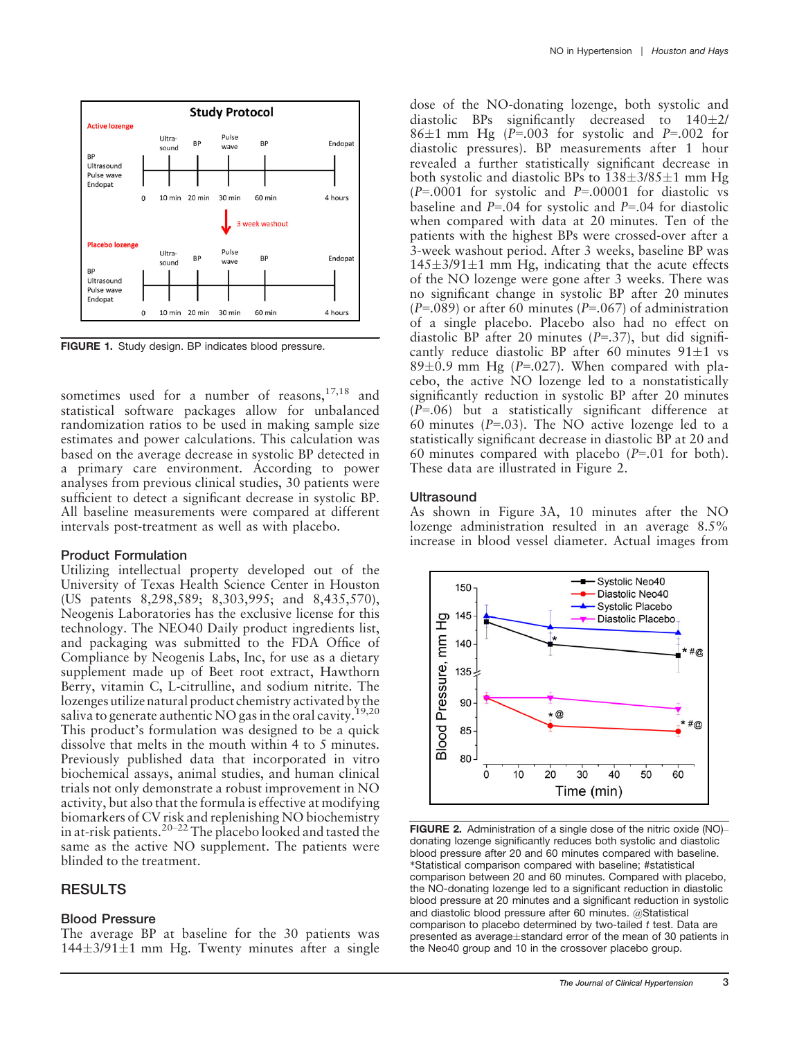

FIGURE 1. Study design. BP indicates blood pressure.

sometimes used for a number of reasons,  $17,18$  and statistical software packages allow for unbalanced randomization ratios to be used in making sample size estimates and power calculations. This calculation was based on the average decrease in systolic BP detected in a primary care environment. According to power analyses from previous clinical studies, 30 patients were sufficient to detect a significant decrease in systolic BP. All baseline measurements were compared at different intervals post-treatment as well as with placebo.

#### Product Formulation

Utilizing intellectual property developed out of the University of Texas Health Science Center in Houston (US patents 8,298,589; 8,303,995; and 8,435,570), Neogenis Laboratories has the exclusive license for this technology. The NEO40 Daily product ingredients list, and packaging was submitted to the FDA Office of Compliance by Neogenis Labs, Inc, for use as a dietary supplement made up of Beet root extract, Hawthorn Berry, vitamin C, L-citrulline, and sodium nitrite. The lozenges utilize natural product chemistry activated by the saliva to generate authentic NO gas in the oral cavity.<sup>19,20</sup> This product's formulation was designed to be a quick dissolve that melts in the mouth within 4 to 5 minutes. Previously published data that incorporated in vitro biochemical assays, animal studies, and human clinical trials not only demonstrate a robust improvement in NO activity, but also that the formula is effective at modifying biomarkers of CV risk and replenishing NO biochemistry in at-risk patients.20–22The placebo looked and tasted the same as the active NO supplement. The patients were blinded to the treatment.

## RESULTS

## Blood Pressure

The average BP at baseline for the 30 patients was  $144\pm3/91\pm1$  mm Hg. Twenty minutes after a single

dose of the NO-donating lozenge, both systolic and diastolic BPs significantly decreased to  $140\pm2/$ 86 $\pm$ 1 mm Hg (P=.003 for systolic and P=.002 for diastolic pressures). BP measurements after 1 hour revealed a further statistically significant decrease in both systolic and diastolic BPs to  $138\pm3/85\pm1$  mm Hg  $(P=.0001$  for systolic and  $P=.00001$  for diastolic vs baseline and  $P = .04$  for systolic and  $P = .04$  for diastolic when compared with data at 20 minutes. Ten of the patients with the highest BPs were crossed-over after a 3-week washout period. After 3 weeks, baseline BP was  $145\pm3/91\pm1$  mm Hg, indicating that the acute effects of the NO lozenge were gone after 3 weeks. There was no significant change in systolic BP after 20 minutes  $(P=.089)$  or after 60 minutes  $(P=.067)$  of administration of a single placebo. Placebo also had no effect on diastolic BP after 20 minutes  $(P=.37)$ , but did significantly reduce diastolic BP after 60 minutes  $91 \pm 1$  vs 89 $\pm$ 0.9 mm Hg (P=.027). When compared with placebo, the active NO lozenge led to a nonstatistically significantly reduction in systolic BP after 20 minutes  $(P=.06)$  but a statistically significant difference at 60 minutes ( $P=.03$ ). The NO active lozenge led to a statistically significant decrease in diastolic BP at 20 and 60 minutes compared with placebo  $(P=.01)$  for both). These data are illustrated in Figure 2.

#### **Ultrasound**

As shown in Figure 3A, 10 minutes after the NO lozenge administration resulted in an average 8.5% increase in blood vessel diameter. Actual images from



FIGURE 2. Administration of a single dose of the nitric oxide (NO)donating lozenge significantly reduces both systolic and diastolic blood pressure after 20 and 60 minutes compared with baseline. \*Statistical comparison compared with baseline; #statistical comparison between 20 and 60 minutes. Compared with placebo, the NO-donating lozenge led to a significant reduction in diastolic blood pressure at 20 minutes and a significant reduction in systolic and diastolic blood pressure after 60 minutes. @Statistical comparison to placebo determined by two-tailed  $t$  test. Data are presented as average $\pm$ standard error of the mean of 30 patients in the Neo40 group and 10 in the crossover placebo group.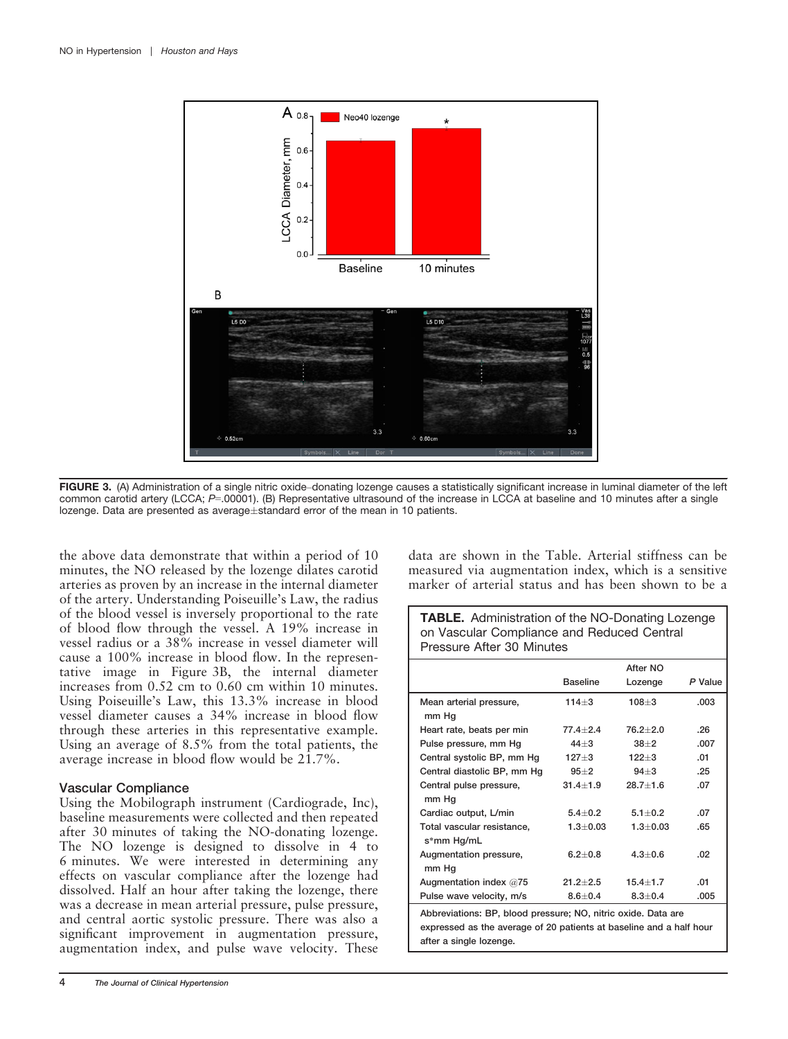

FIGURE 3. (A) Administration of a single nitric oxide-donating lozenge causes a statistically significant increase in luminal diameter of the left common carotid artery (LCCA; P=.00001). (B) Representative ultrasound of the increase in LCCA at baseline and 10 minutes after a single lozenge. Data are presented as average fatandard error of the mean in 10 patients.

the above data demonstrate that within a period of 10 minutes, the NO released by the lozenge dilates carotid arteries as proven by an increase in the internal diameter of the artery. Understanding Poiseuille's Law, the radius of the blood vessel is inversely proportional to the rate of blood flow through the vessel. A 19% increase in vessel radius or a 38% increase in vessel diameter will cause a 100% increase in blood flow. In the representative image in Figure 3B, the internal diameter increases from 0.52 cm to 0.60 cm within 10 minutes. Using Poiseuille's Law, this 13.3% increase in blood vessel diameter causes a 34% increase in blood flow through these arteries in this representative example. Using an average of 8.5% from the total patients, the average increase in blood flow would be 21.7%.

## Vascular Compliance

Using the Mobilograph instrument (Cardiograde, Inc), baseline measurements were collected and then repeated after 30 minutes of taking the NO-donating lozenge. The NO lozenge is designed to dissolve in 4 to 6 minutes. We were interested in determining any effects on vascular compliance after the lozenge had dissolved. Half an hour after taking the lozenge, there was a decrease in mean arterial pressure, pulse pressure, and central aortic systolic pressure. There was also a significant improvement in augmentation pressure, augmentation index, and pulse wave velocity. These

data are shown in the Table. Arterial stiffness can be measured via augmentation index, which is a sensitive marker of arterial status and has been shown to be a

**TABLE.** Administration of the NO-Donating Lozenge

| on Vascular Compliance and Reduced Central<br>Pressure After 30 Minutes                                                                                         |                 |              |         |
|-----------------------------------------------------------------------------------------------------------------------------------------------------------------|-----------------|--------------|---------|
|                                                                                                                                                                 |                 | After NO     |         |
|                                                                                                                                                                 | <b>Baseline</b> | Lozenge      | P Value |
| Mean arterial pressure,<br>mm Hg                                                                                                                                | $114 + 3$       | $108 + 3$    | .003    |
| Heart rate, beats per min                                                                                                                                       | $77.4 + 2.4$    | $76.2 + 2.0$ | .26     |
| Pulse pressure, mm Hg                                                                                                                                           | $44 + 3$        | $38 + 2$     | .007    |
| Central systolic BP, mm Hg                                                                                                                                      | $127 + 3$       | $122 + 3$    | .01     |
| Central diastolic BP, mm Hg                                                                                                                                     | $95 + 2$        | $94 + 3$     | .25     |
| Central pulse pressure,<br>mm Hg                                                                                                                                | $31.4 + 1.9$    | $28.7 + 1.6$ | .07     |
| Cardiac output, L/min                                                                                                                                           | $5.4 + 0.2$     | $5.1 + 0.2$  | .07     |
| Total vascular resistance.<br>s*mm Hg/mL                                                                                                                        | $1.3 + 0.03$    | $1.3 + 0.03$ | .65     |
| Augmentation pressure,<br>mm Hg                                                                                                                                 | $6.2 + 0.8$     | $4.3 + 0.6$  | .02     |
| Augmentation index @75                                                                                                                                          | $21.2 + 2.5$    | $15.4 + 1.7$ | .01     |
| Pulse wave velocity, m/s                                                                                                                                        | $8.6 + 0.4$     | $8.3 + 0.4$  | .005    |
| Abbreviations: BP, blood pressure; NO, nitric oxide. Data are<br>expressed as the average of 20 patients at baseline and a half hour<br>after a single lozenge. |                 |              |         |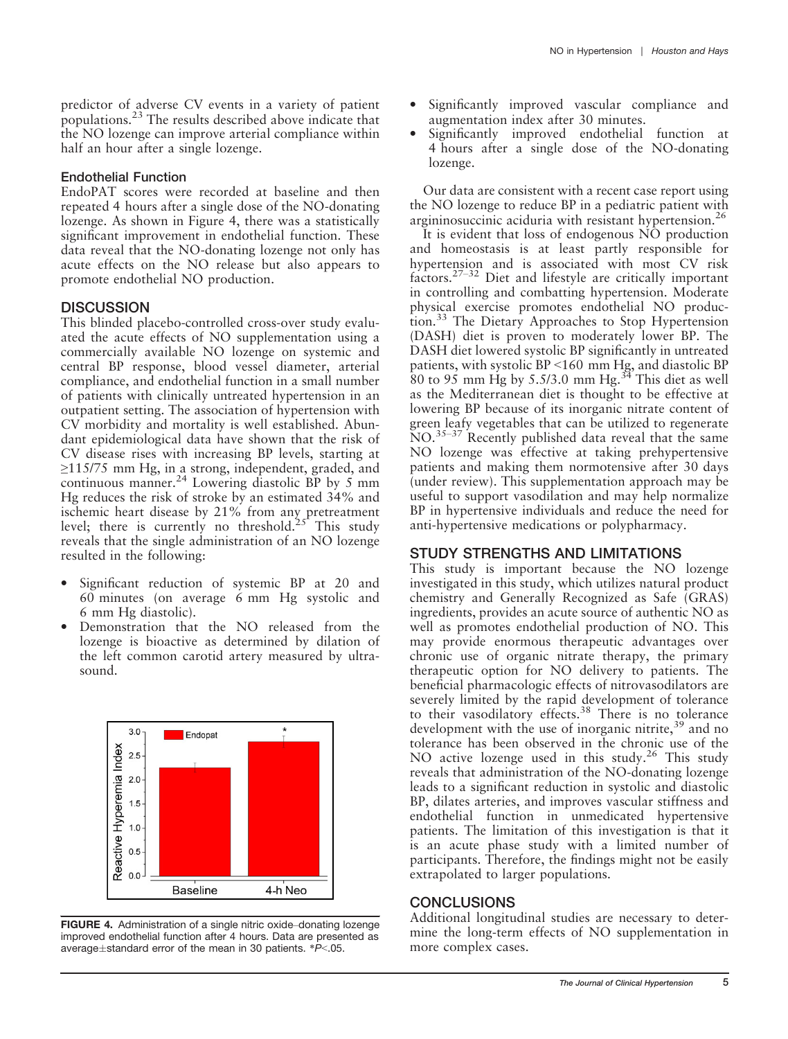predictor of adverse CV events in a variety of patient populations.<sup>23</sup> The results described above indicate that the NO lozenge can improve arterial compliance within half an hour after a single lozenge.

#### Endothelial Function

EndoPAT scores were recorded at baseline and then repeated 4 hours after a single dose of the NO-donating lozenge. As shown in Figure 4, there was a statistically significant improvement in endothelial function. These data reveal that the NO-donating lozenge not only has acute effects on the NO release but also appears to promote endothelial NO production.

## **DISCUSSION**

This blinded placebo-controlled cross-over study evaluated the acute effects of NO supplementation using a commercially available NO lozenge on systemic and central BP response, blood vessel diameter, arterial compliance, and endothelial function in a small number of patients with clinically untreated hypertension in an outpatient setting. The association of hypertension with CV morbidity and mortality is well established. Abundant epidemiological data have shown that the risk of CV disease rises with increasing BP levels, starting at ≥115/75 mm Hg, in a strong, independent, graded, and continuous manner.<sup>24</sup> Lowering diastolic BP by 5 mm Hg reduces the risk of stroke by an estimated 34% and ischemic heart disease by 21% from any pretreatment level; there is currently no threshold.<sup>25</sup> This study reveals that the single administration of an NO lozenge resulted in the following:

- Significant reduction of systemic BP at 20 and 60 minutes (on average 6 mm Hg systolic and 6 mm Hg diastolic).
- Demonstration that the NO released from the lozenge is bioactive as determined by dilation of the left common carotid artery measured by ultrasound.



FIGURE 4. Administration of a single nitric oxide–donating lozenge improved endothelial function after 4 hours. Data are presented as average $\pm$ standard error of the mean in 30 patients.  $*P<.05$ .

- Significantly improved vascular compliance and augmentation index after 30 minutes.
- Significantly improved endothelial function at 4 hours after a single dose of the NO-donating lozenge.

Our data are consistent with a recent case report using the NO lozenge to reduce BP in a pediatric patient with argininosuccinic aciduria with resistant hypertension.<sup>26</sup>

It is evident that loss of endogenous NO production and homeostasis is at least partly responsible for hypertension and is associated with most CV risk factors.<sup>27–32</sup> Diet and lifestyle are critically important in controlling and combatting hypertension. Moderate physical exercise promotes endothelial NO production.<sup>33</sup> The Dietary Approaches to Stop Hypertension (DASH) diet is proven to moderately lower BP. The DASH diet lowered systolic BP significantly in untreated patients, with systolic BP <160 mm Hg, and diastolic BP  $80$  to  $95$  mm Hg by 5.5/3.0 mm Hg.<sup>34</sup> This diet as well as the Mediterranean diet is thought to be effective at lowering BP because of its inorganic nitrate content of green leafy vegetables that can be utilized to regenerate NO.<sup>35-37</sup> Recently published data reveal that the same NO lozenge was effective at taking prehypertensive patients and making them normotensive after 30 days (under review). This supplementation approach may be useful to support vasodilation and may help normalize BP in hypertensive individuals and reduce the need for anti-hypertensive medications or polypharmacy.

## STUDY STRENGTHS AND LIMITATIONS

This study is important because the NO lozenge investigated in this study, which utilizes natural product chemistry and Generally Recognized as Safe (GRAS) ingredients, provides an acute source of authentic NO as well as promotes endothelial production of NO. This may provide enormous therapeutic advantages over chronic use of organic nitrate therapy, the primary therapeutic option for NO delivery to patients. The beneficial pharmacologic effects of nitrovasodilators are severely limited by the rapid development of tolerance to their vasodilatory effects.<sup>38</sup> There is no tolerance development with the use of inorganic nitrite,<sup>39</sup> and no tolerance has been observed in the chronic use of the NO active lozenge used in this study.<sup>26</sup> This study reveals that administration of the NO-donating lozenge leads to a significant reduction in systolic and diastolic BP, dilates arteries, and improves vascular stiffness and endothelial function in unmedicated hypertensive patients. The limitation of this investigation is that it is an acute phase study with a limited number of participants. Therefore, the findings might not be easily extrapolated to larger populations.

### **CONCLUSIONS**

Additional longitudinal studies are necessary to determine the long-term effects of NO supplementation in more complex cases.